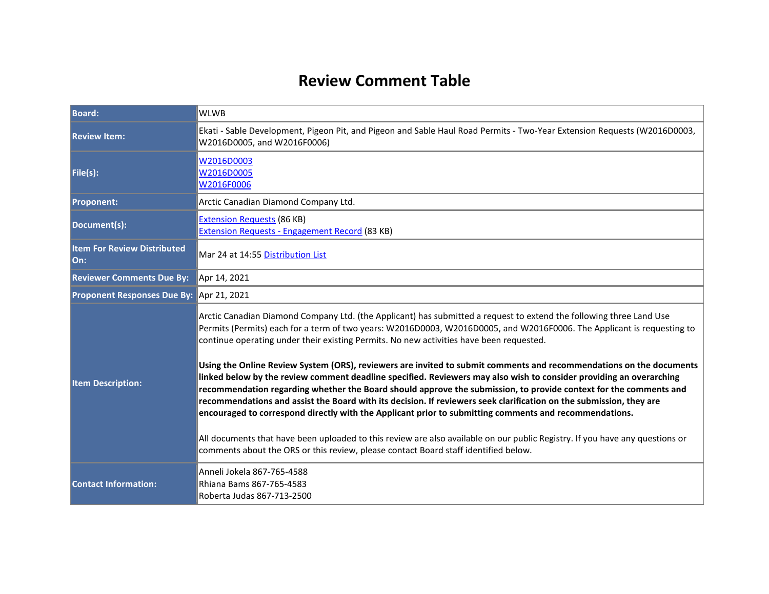## **Review Comment Table**

| <b>Board:</b>                             | <b>WLWB</b>                                                                                                                                                                                                                                                                                                                                                                                                                                                                                                                                                                                                                                                                                                                                                                                                                                                                                                                                                                                                                                                                                                                                                         |  |
|-------------------------------------------|---------------------------------------------------------------------------------------------------------------------------------------------------------------------------------------------------------------------------------------------------------------------------------------------------------------------------------------------------------------------------------------------------------------------------------------------------------------------------------------------------------------------------------------------------------------------------------------------------------------------------------------------------------------------------------------------------------------------------------------------------------------------------------------------------------------------------------------------------------------------------------------------------------------------------------------------------------------------------------------------------------------------------------------------------------------------------------------------------------------------------------------------------------------------|--|
| <b>Review Item:</b>                       | Ekati - Sable Development, Pigeon Pit, and Pigeon and Sable Haul Road Permits - Two-Year Extension Requests (W2016D0003,<br>W2016D0005, and W2016F0006)                                                                                                                                                                                                                                                                                                                                                                                                                                                                                                                                                                                                                                                                                                                                                                                                                                                                                                                                                                                                             |  |
| File(s):                                  | W2016D0003<br>W2016D0005<br>W2016F0006                                                                                                                                                                                                                                                                                                                                                                                                                                                                                                                                                                                                                                                                                                                                                                                                                                                                                                                                                                                                                                                                                                                              |  |
| <b>Proponent:</b>                         | Arctic Canadian Diamond Company Ltd.                                                                                                                                                                                                                                                                                                                                                                                                                                                                                                                                                                                                                                                                                                                                                                                                                                                                                                                                                                                                                                                                                                                                |  |
| Document(s):                              | <b>Extension Requests (86 KB)</b><br><b>Extension Requests - Engagement Record (83 KB)</b>                                                                                                                                                                                                                                                                                                                                                                                                                                                                                                                                                                                                                                                                                                                                                                                                                                                                                                                                                                                                                                                                          |  |
| <b>Item For Review Distributed</b><br>On: | Mar 24 at 14:55 Distribution List                                                                                                                                                                                                                                                                                                                                                                                                                                                                                                                                                                                                                                                                                                                                                                                                                                                                                                                                                                                                                                                                                                                                   |  |
| <b>Reviewer Comments Due By:</b>          | Apr 14, 2021                                                                                                                                                                                                                                                                                                                                                                                                                                                                                                                                                                                                                                                                                                                                                                                                                                                                                                                                                                                                                                                                                                                                                        |  |
| Proponent Responses Due By: Apr 21, 2021  |                                                                                                                                                                                                                                                                                                                                                                                                                                                                                                                                                                                                                                                                                                                                                                                                                                                                                                                                                                                                                                                                                                                                                                     |  |
| <b>Item Description:</b>                  | Arctic Canadian Diamond Company Ltd. (the Applicant) has submitted a request to extend the following three Land Use<br>Permits (Permits) each for a term of two years: W2016D0003, W2016D0005, and W2016F0006. The Applicant is requesting to<br>continue operating under their existing Permits. No new activities have been requested.<br>Using the Online Review System (ORS), reviewers are invited to submit comments and recommendations on the documents<br>linked below by the review comment deadline specified. Reviewers may also wish to consider providing an overarching<br>recommendation regarding whether the Board should approve the submission, to provide context for the comments and<br>recommendations and assist the Board with its decision. If reviewers seek clarification on the submission, they are<br>encouraged to correspond directly with the Applicant prior to submitting comments and recommendations.<br>All documents that have been uploaded to this review are also available on our public Registry. If you have any questions or<br>comments about the ORS or this review, please contact Board staff identified below. |  |
| <b>Contact Information:</b>               | Anneli Jokela 867-765-4588<br>Rhiana Bams 867-765-4583<br>Roberta Judas 867-713-2500                                                                                                                                                                                                                                                                                                                                                                                                                                                                                                                                                                                                                                                                                                                                                                                                                                                                                                                                                                                                                                                                                |  |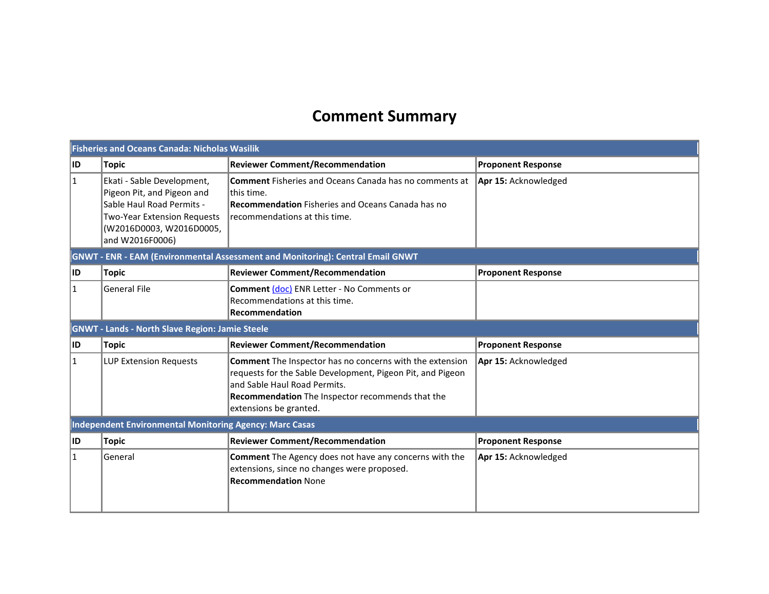# **Comment Summary**

| <b>Fisheries and Oceans Canada: Nicholas Wasilik</b>    |                                                                                                                                                                            |                                                                                                                                                                                                                                      |                           |
|---------------------------------------------------------|----------------------------------------------------------------------------------------------------------------------------------------------------------------------------|--------------------------------------------------------------------------------------------------------------------------------------------------------------------------------------------------------------------------------------|---------------------------|
| ID                                                      | <b>Topic</b>                                                                                                                                                               | <b>Reviewer Comment/Recommendation</b>                                                                                                                                                                                               | <b>Proponent Response</b> |
| 1                                                       | Ekati - Sable Development,<br>Pigeon Pit, and Pigeon and<br>Sable Haul Road Permits -<br><b>Two-Year Extension Requests</b><br>(W2016D0003, W2016D0005,<br>and W2016F0006) | <b>Comment</b> Fisheries and Oceans Canada has no comments at<br>lthis time.<br><b>Recommendation</b> Fisheries and Oceans Canada has no<br>recommendations at this time.                                                            | Apr 15: Acknowledged      |
|                                                         |                                                                                                                                                                            | GNWT - ENR - EAM (Environmental Assessment and Monitoring): Central Email GNWT                                                                                                                                                       |                           |
| ID.                                                     | Topic                                                                                                                                                                      | <b>Reviewer Comment/Recommendation</b>                                                                                                                                                                                               | <b>Proponent Response</b> |
| $\mathbf{1}$                                            | <b>General File</b>                                                                                                                                                        | Comment (doc) ENR Letter - No Comments or<br>Recommendations at this time.<br><b>Recommendation</b>                                                                                                                                  |                           |
|                                                         | <b>GNWT - Lands - North Slave Region: Jamie Steele</b>                                                                                                                     |                                                                                                                                                                                                                                      |                           |
| ID                                                      | <b>Topic</b>                                                                                                                                                               | <b>Reviewer Comment/Recommendation</b>                                                                                                                                                                                               | <b>Proponent Response</b> |
| $\mathbf 1$                                             | LUP Extension Requests                                                                                                                                                     | Comment The Inspector has no concerns with the extension<br>requests for the Sable Development, Pigeon Pit, and Pigeon<br>and Sable Haul Road Permits.<br>Recommendation The Inspector recommends that the<br>extensions be granted. | Apr 15: Acknowledged      |
| Independent Environmental Monitoring Agency: Marc Casas |                                                                                                                                                                            |                                                                                                                                                                                                                                      |                           |
| ID                                                      | <b>Topic</b>                                                                                                                                                               | <b>Reviewer Comment/Recommendation</b>                                                                                                                                                                                               | <b>Proponent Response</b> |
| 1                                                       | General                                                                                                                                                                    | Comment The Agency does not have any concerns with the<br>extensions, since no changes were proposed.<br><b>Recommendation None</b>                                                                                                  | Apr 15: Acknowledged      |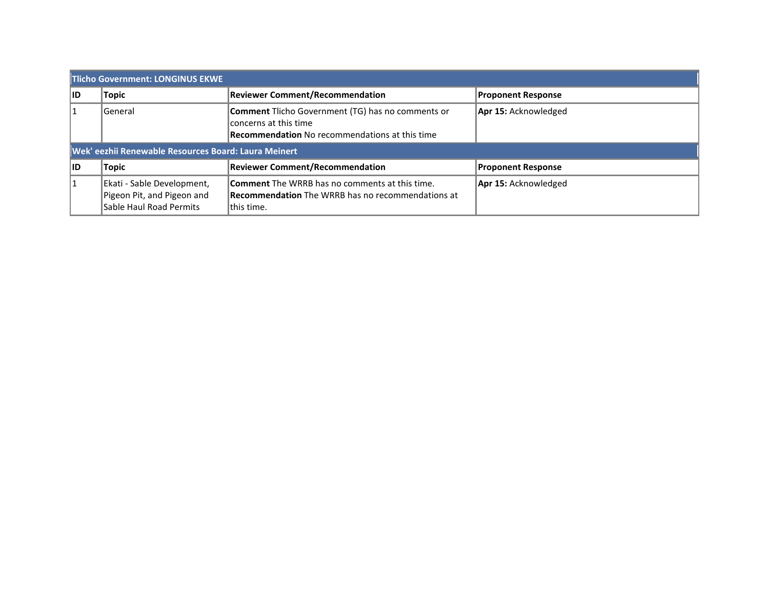| Tlicho Government: LONGINUS EKWE                     |                                                                                     |                                                                                                                                            |                             |
|------------------------------------------------------|-------------------------------------------------------------------------------------|--------------------------------------------------------------------------------------------------------------------------------------------|-----------------------------|
| 11D                                                  | Topic                                                                               | <b>Reviewer Comment/Recommendation</b>                                                                                                     | <b>Proponent Response</b>   |
| 11                                                   | General                                                                             | <b>Comment</b> Tlicho Government (TG) has no comments or<br>concerns at this time<br><b>Recommendation</b> No recommendations at this time | Apr 15: Acknowledged        |
| Wek' eezhii Renewable Resources Board: Laura Meinert |                                                                                     |                                                                                                                                            |                             |
| <b>IID</b>                                           | Topic                                                                               | <b>Reviewer Comment/Recommendation</b>                                                                                                     | <b>Proponent Response</b>   |
| 1                                                    | Ekati - Sable Development,<br>Pigeon Pit, and Pigeon and<br>Sable Haul Road Permits | <b>Comment</b> The WRRB has no comments at this time.<br><b>Recommendation</b> The WRRB has no recommendations at<br>lthis time.           | <b>Apr 15: Acknowledged</b> |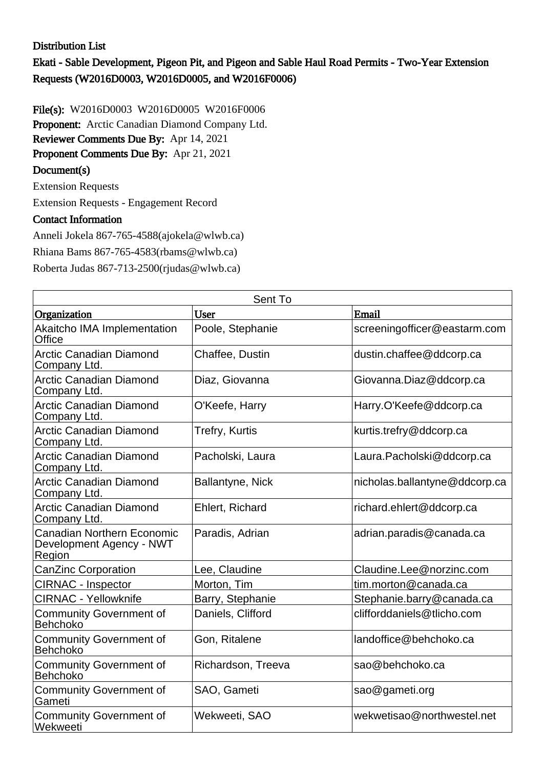#### Distribution List

Ekati - Sable Development, Pigeon Pit, and Pigeon and Sable Haul Road Permits - Two-Year Extension Requests (W2016D0003, W2016D0005, and W2016F0006)

File(s): W2016D0003 W2016D0005 W2016F0006 Proponent: Arctic Canadian Diamond Company Ltd. Reviewer Comments Due By: Apr 14, 2021 Proponent Comments Due By: Apr 21, 2021 Document(s)

Extension Requests

Extension Requests - Engagement Record

#### Contact Information

Anneli Jokela 867-765-4588(ajokela@wlwb.ca)

Rhiana Bams 867-765-4583(rbams@wlwb.ca)

Roberta Judas 867-713-2500(rjudas@wlwb.ca)

| Sent To                                                                 |                    |                               |  |
|-------------------------------------------------------------------------|--------------------|-------------------------------|--|
| Organization                                                            | User               | Email                         |  |
| Akaitcho IMA Implementation<br>Office                                   | Poole, Stephanie   | screeningofficer@eastarm.com  |  |
| <b>Arctic Canadian Diamond</b><br>Company Ltd.                          | Chaffee, Dustin    | dustin.chaffee@ddcorp.ca      |  |
| <b>Arctic Canadian Diamond</b><br>Company Ltd.                          | Diaz, Giovanna     | Giovanna.Diaz@ddcorp.ca       |  |
| <b>Arctic Canadian Diamond</b><br>Company Ltd.                          | O'Keefe, Harry     | Harry.O'Keefe@ddcorp.ca       |  |
| <b>Arctic Canadian Diamond</b><br>Company Ltd.                          | Trefry, Kurtis     | kurtis.trefry@ddcorp.ca       |  |
| <b>Arctic Canadian Diamond</b><br>Company Ltd.                          | Pacholski, Laura   | Laura.Pacholski@ddcorp.ca     |  |
| <b>Arctic Canadian Diamond</b><br>Company Ltd.                          | Ballantyne, Nick   | nicholas.ballantyne@ddcorp.ca |  |
| <b>Arctic Canadian Diamond</b><br>Company Ltd.                          | Ehlert, Richard    | richard.ehlert@ddcorp.ca      |  |
| <b>Canadian Northern Economic</b><br>Development Agency - NWT<br>Region | Paradis, Adrian    | adrian.paradis@canada.ca      |  |
| <b>CanZinc Corporation</b>                                              | Lee, Claudine      | Claudine.Lee@norzinc.com      |  |
| <b>CIRNAC - Inspector</b>                                               | Morton, Tim        | tim.morton@canada.ca          |  |
| <b>CIRNAC - Yellowknife</b>                                             | Barry, Stephanie   | Stephanie.barry@canada.ca     |  |
| <b>Community Government of</b><br>Behchoko                              | Daniels, Clifford  | clifforddaniels@tlicho.com    |  |
| <b>Community Government of</b><br>Behchoko                              | Gon, Ritalene      | landoffice@behchoko.ca        |  |
| <b>Community Government of</b><br>Behchoko                              | Richardson, Treeva | sao@behchoko.ca               |  |
| <b>Community Government of</b><br>Gameti                                | SAO, Gameti        | sao@gameti.org                |  |
| <b>Community Government of</b><br>Wekweeti                              | Wekweeti, SAO      | wekwetisao@northwestel.net    |  |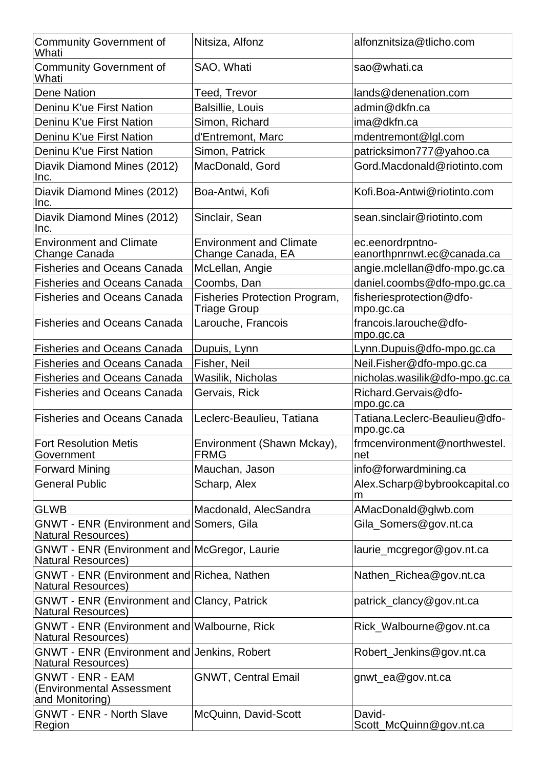| <b>Community Government of</b><br>Whati                                         | Nitsiza, Alfonz                                     | alfonznitsiza@tlicho.com                       |
|---------------------------------------------------------------------------------|-----------------------------------------------------|------------------------------------------------|
| <b>Community Government of</b><br>Whati                                         | SAO, Whati                                          | sao@whati.ca                                   |
| Dene Nation                                                                     | Teed, Trevor                                        | lands@denenation.com                           |
| Deninu K'ue First Nation                                                        | Balsillie, Louis                                    | admin@dkfn.ca                                  |
| Deninu K'ue First Nation                                                        | Simon, Richard                                      | ima@dkfn.ca                                    |
| Deninu K'ue First Nation                                                        | d'Entremont, Marc                                   | mdentremont@lgl.com                            |
| Deninu K'ue First Nation                                                        | Simon, Patrick                                      | patricksimon777@yahoo.ca                       |
| Diavik Diamond Mines (2012)<br>Inc.                                             | MacDonald, Gord                                     | Gord.Macdonald@riotinto.com                    |
| Diavik Diamond Mines (2012)<br>Inc.                                             | Boa-Antwi, Kofi                                     | Kofi.Boa-Antwi@riotinto.com                    |
| Diavik Diamond Mines (2012)<br>Inc.                                             | Sinclair, Sean                                      | sean.sinclair@riotinto.com                     |
| <b>Environment and Climate</b><br>Change Canada                                 | <b>Environment and Climate</b><br>Change Canada, EA | ec.eenordrpntno-<br>eanorthpnrnwt.ec@canada.ca |
| <b>Fisheries and Oceans Canada</b>                                              | McLellan, Angie                                     | angie.mclellan@dfo-mpo.gc.ca                   |
| <b>Fisheries and Oceans Canada</b>                                              | Coombs, Dan                                         | daniel.coombs@dfo-mpo.gc.ca                    |
| <b>Fisheries and Oceans Canada</b>                                              | Fisheries Protection Program,<br>Triage Group       | fisheriesprotection@dfo-<br>mpo.gc.ca          |
| <b>Fisheries and Oceans Canada</b>                                              | Larouche, Francois                                  | francois.larouche@dfo-<br>mpo.gc.ca            |
| <b>Fisheries and Oceans Canada</b>                                              | Dupuis, Lynn                                        | Lynn.Dupuis@dfo-mpo.gc.ca                      |
| <b>Fisheries and Oceans Canada</b>                                              | Fisher, Neil                                        | Neil.Fisher@dfo-mpo.gc.ca                      |
| <b>Fisheries and Oceans Canada</b>                                              | Wasilik, Nicholas                                   | nicholas.wasilik@dfo-mpo.gc.ca                 |
| <b>Fisheries and Oceans Canada</b>                                              | Gervais, Rick                                       | Richard.Gervais@dfo-<br>mpo.gc.ca              |
| <b>Fisheries and Oceans Canada</b>                                              | Leclerc-Beaulieu, Tatiana                           | Tatiana.Leclerc-Beaulieu@dfo-<br>mpo.gc.ca     |
| <b>Fort Resolution Metis</b><br>Government                                      | Environment (Shawn Mckay),<br><b>FRMG</b>           | frmcenvironment@northwestel.<br>net            |
| <b>Forward Mining</b>                                                           | Mauchan, Jason                                      | info@forwardmining.ca                          |
| <b>General Public</b>                                                           | Scharp, Alex                                        | Alex.Scharp@bybrookcapital.co<br>m             |
| <b>GLWB</b>                                                                     | Macdonald, AlecSandra                               | AMacDonald@glwb.com                            |
| GNWT - ENR (Environment and Somers, Gila<br><b>Natural Resources)</b>           |                                                     | Gila_Somers@gov.nt.ca                          |
| GNWT - ENR (Environment and McGregor, Laurie<br><b>Natural Resources)</b>       |                                                     | laurie_mcgregor@gov.nt.ca                      |
| GNWT - ENR (Environment and Richea, Nathen<br><b>Natural Resources</b> )        |                                                     | Nathen_Richea@gov.nt.ca                        |
| <b>GNWT - ENR (Environment and Clancy, Patrick</b><br><b>Natural Resources)</b> |                                                     | patrick_clancy@gov.nt.ca                       |
| <b>GNWT - ENR (Environment and Walbourne, Rick</b><br><b>Natural Resources)</b> |                                                     | Rick_Walbourne@gov.nt.ca                       |
| GNWT - ENR (Environment and Jenkins, Robert<br><b>Natural Resources)</b>        |                                                     | Robert_Jenkins@gov.nt.ca                       |
| <b>GNWT - ENR - EAM</b><br>(Environmental Assessment<br>and Monitoring)         | <b>GNWT, Central Email</b>                          | gnwt_ea@gov.nt.ca                              |
| <b>GNWT - ENR - North Slave</b><br>Region                                       | McQuinn, David-Scott                                | David-<br>Scott_McQuinn@gov.nt.ca              |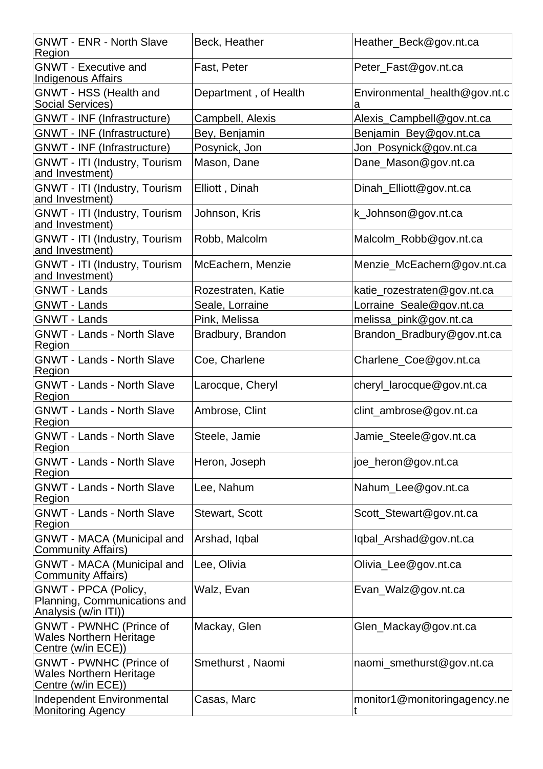| <b>GNWT - ENR - North Slave</b><br>Region                                              | Beck, Heather         | Heather_Beck@gov.nt.ca             |
|----------------------------------------------------------------------------------------|-----------------------|------------------------------------|
| <b>GNWT - Executive and</b><br><b>Indigenous Affairs</b>                               | Fast, Peter           | Peter_Fast@gov.nt.ca               |
| GNWT - HSS (Health and<br>Social Services)                                             | Department, of Health | Environmental_health@gov.nt.c<br>а |
| GNWT - INF (Infrastructure)                                                            | Campbell, Alexis      | Alexis_Campbell@gov.nt.ca          |
| <b>GNWT - INF (Infrastructure)</b>                                                     | Bey, Benjamin         | Benjamin_Bey@gov.nt.ca             |
| <b>GNWT - INF (Infrastructure)</b>                                                     | Posynick, Jon         | Jon_Posynick@gov.nt.ca             |
| GNWT - ITI (Industry, Tourism<br>and Investment)                                       | Mason, Dane           | Dane_Mason@gov.nt.ca               |
| GNWT - ITI (Industry, Tourism<br>and Investment)                                       | Elliott, Dinah        | Dinah_Elliott@gov.nt.ca            |
| GNWT - ITI (Industry, Tourism<br>and Investment)                                       | Johnson, Kris         | k_Johnson@gov.nt.ca                |
| GNWT - ITI (Industry, Tourism<br>and Investment)                                       | Robb, Malcolm         | Malcolm_Robb@gov.nt.ca             |
| GNWT - ITI (Industry, Tourism<br>and Investment)                                       | McEachern, Menzie     | Menzie_McEachern@gov.nt.ca         |
| <b>GNWT - Lands</b>                                                                    | Rozestraten, Katie    | katie_rozestraten@gov.nt.ca        |
| <b>GNWT - Lands</b>                                                                    | Seale, Lorraine       | Lorraine_Seale@gov.nt.ca           |
| <b>GNWT - Lands</b>                                                                    | Pink, Melissa         | melissa_pink@gov.nt.ca             |
| <b>GNWT - Lands - North Slave</b><br>Region                                            | Bradbury, Brandon     | Brandon_Bradbury@gov.nt.ca         |
| <b>GNWT - Lands - North Slave</b><br>Region                                            | Coe, Charlene         | Charlene_Coe@gov.nt.ca             |
| <b>GNWT - Lands - North Slave</b><br>Region                                            | Larocque, Cheryl      | cheryl_larocque@gov.nt.ca          |
| <b>GNWT - Lands - North Slave</b><br>Region                                            | Ambrose, Clint        | clint_ambrose@gov.nt.ca            |
| <b>GNWT - Lands - North Slave</b><br>Region                                            | Steele, Jamie         | Jamie_Steele@gov.nt.ca             |
| <b>GNWT - Lands - North Slave</b><br>Region                                            | Heron, Joseph         | joe_heron@gov.nt.ca                |
| <b>GNWT - Lands - North Slave</b><br>Region                                            | Lee, Nahum            | Nahum_Lee@gov.nt.ca                |
| <b>GNWT - Lands - North Slave</b><br>Region                                            | <b>Stewart, Scott</b> | Scott_Stewart@gov.nt.ca            |
| <b>GNWT - MACA (Municipal and</b><br><b>Community Affairs)</b>                         | Arshad, Iqbal         | lqbal_Arshad@gov.nt.ca             |
| <b>GNWT - MACA (Municipal and</b><br><b>Community Affairs)</b>                         | Lee, Olivia           | Olivia_Lee@gov.nt.ca               |
| <b>GNWT - PPCA (Policy,</b><br>Planning, Communications and<br>Analysis (w/in ITI))    | Walz, Evan            | Evan_Walz@gov.nt.ca                |
| <b>GNWT - PWNHC (Prince of</b><br><b>Wales Northern Heritage</b><br>Centre (w/in ECE)) | Mackay, Glen          | Glen_Mackay@gov.nt.ca              |
| <b>GNWT - PWNHC (Prince of</b><br><b>Wales Northern Heritage</b><br>Centre (w/in ECE)) | Smethurst, Naomi      | naomi_smethurst@gov.nt.ca          |
| Independent Environmental<br><b>Monitoring Agency</b>                                  | Casas, Marc           | monitor1@monitoringagency.ne       |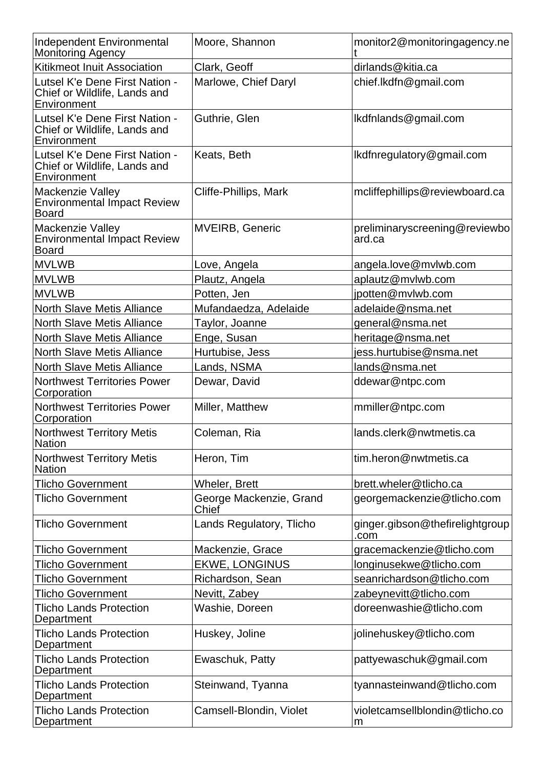| <b>Independent Environmental</b><br><b>Monitoring Agency</b>                  | Moore, Shannon                   | monitor2@monitoringagency.ne            |
|-------------------------------------------------------------------------------|----------------------------------|-----------------------------------------|
| <b>Kitikmeot Inuit Association</b>                                            | Clark, Geoff                     | dirlands@kitia.ca                       |
| Lutsel K'e Dene First Nation -<br>Chief or Wildlife, Lands and<br>Environment | Marlowe, Chief Daryl             | chief.lkdfn@gmail.com                   |
| Lutsel K'e Dene First Nation -<br>Chief or Wildlife, Lands and<br>Environment | Guthrie, Glen                    | lkdfnlands@gmail.com                    |
| Lutsel K'e Dene First Nation -<br>Chief or Wildlife, Lands and<br>Environment | Keats, Beth                      | lkdfnregulatory@gmail.com               |
| Mackenzie Valley<br><b>Environmental Impact Review</b><br><b>Board</b>        | Cliffe-Phillips, Mark            | mcliffephillips@reviewboard.ca          |
| Mackenzie Valley<br><b>Environmental Impact Review</b><br><b>Board</b>        | <b>MVEIRB, Generic</b>           | preliminaryscreening@reviewbo<br>ard.ca |
| <b>MVLWB</b>                                                                  | Love, Angela                     | angela.love@mvlwb.com                   |
| <b>MVLWB</b>                                                                  | Plautz, Angela                   | aplautz@mvlwb.com                       |
| <b>MVLWB</b>                                                                  | Potten, Jen                      | jpotten@mvlwb.com                       |
| <b>North Slave Metis Alliance</b>                                             | Mufandaedza, Adelaide            | adelaide@nsma.net                       |
| <b>North Slave Metis Alliance</b>                                             | Taylor, Joanne                   | general@nsma.net                        |
| <b>North Slave Metis Alliance</b>                                             | Enge, Susan                      | heritage@nsma.net                       |
| <b>North Slave Metis Alliance</b>                                             | Hurtubise, Jess                  | iess.hurtubise@nsma.net                 |
| <b>North Slave Metis Alliance</b>                                             | Lands, NSMA                      | lands@nsma.net                          |
| <b>Northwest Territories Power</b><br>Corporation                             | Dewar, David                     | ddewar@ntpc.com                         |
| <b>Northwest Territories Power</b><br>Corporation                             | Miller, Matthew                  | mmiller@ntpc.com                        |
| <b>Northwest Territory Metis</b><br><b>Nation</b>                             | Coleman, Ria                     | lands.clerk@nwtmetis.ca                 |
| <b>Northwest Territory Metis</b><br><b>Nation</b>                             | Heron, Tim                       | ltim.heron@nwtmetis.ca                  |
| <b>Tlicho Government</b>                                                      | Wheler, Brett                    | brett.wheler@tlicho.ca                  |
| <b>Tlicho Government</b>                                                      | George Mackenzie, Grand<br>Chief | georgemackenzie@tlicho.com              |
| <b>Tlicho Government</b>                                                      | Lands Regulatory, Tlicho         | ginger.gibson@thefirelightgroup<br>.com |
| <b>Tlicho Government</b>                                                      | Mackenzie, Grace                 | gracemackenzie@tlicho.com               |
| <b>Tlicho Government</b>                                                      | <b>EKWE, LONGINUS</b>            | longinusekwe@tlicho.com                 |
| Tlicho Government                                                             | Richardson, Sean                 | seanrichardson@tlicho.com               |
| <b>Tlicho Government</b>                                                      | Nevitt, Zabey                    | zabeynevitt@tlicho.com                  |
| <b>Tlicho Lands Protection</b><br>Department                                  | Washie, Doreen                   | doreenwashie@tlicho.com                 |
| <b>Tlicho Lands Protection</b><br>Department                                  | Huskey, Joline                   | jolinehuskey@tlicho.com                 |
| <b>Tlicho Lands Protection</b><br><b>Department</b>                           | Ewaschuk, Patty                  | pattyewaschuk@gmail.com                 |
| <b>Tlicho Lands Protection</b><br>Department                                  | Steinwand, Tyanna                | tyannasteinwand@tlicho.com              |
| <b>Tlicho Lands Protection</b><br>Department                                  | Camsell-Blondin, Violet          | violetcamsellblondin@tlicho.co<br>m     |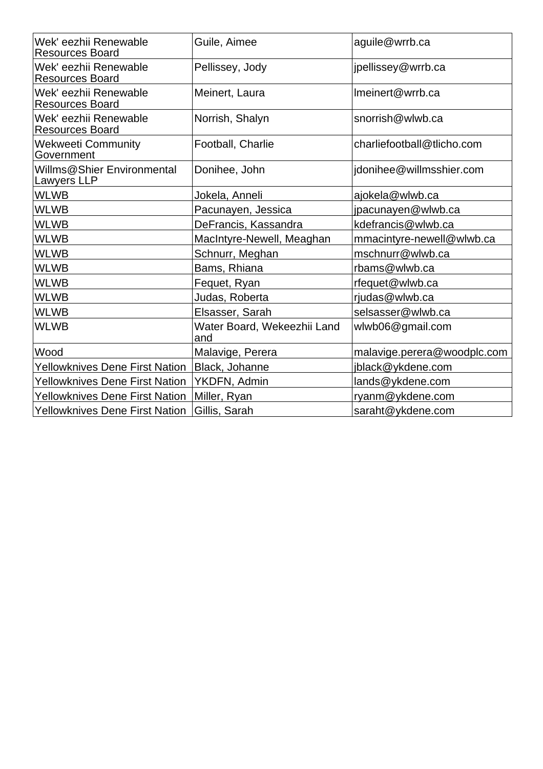| Wek' eezhii Renewable<br><b>Resources Board</b> | Guile, Aimee                       | aguile@wrrb.ca              |
|-------------------------------------------------|------------------------------------|-----------------------------|
| Wek' eezhii Renewable<br><b>Resources Board</b> | Pellissey, Jody                    | jpellissey@wrrb.ca          |
| Wek' eezhii Renewable<br><b>Resources Board</b> | Meinert, Laura                     | Imeinert@wrrb.ca            |
| Wek' eezhii Renewable<br><b>Resources Board</b> | Norrish, Shalyn                    | snorrish@wlwb.ca            |
| <b>Wekweeti Community</b><br>Government         | Football, Charlie                  | charliefootball@tlicho.com  |
| Willms@Shier Environmental<br>Lawyers LLP       | Donihee, John                      | jdonihee@willmsshier.com    |
| <b>WLWB</b>                                     | Jokela, Anneli                     | ajokela@wlwb.ca             |
| <b>WLWB</b>                                     | Pacunayen, Jessica                 | jpacunayen@wlwb.ca          |
| <b>WLWB</b>                                     | DeFrancis, Kassandra               | kdefrancis@wlwb.ca          |
| <b>WLWB</b>                                     | MacIntyre-Newell, Meaghan          | mmacintyre-newell@wlwb.ca   |
| <b>WLWB</b>                                     | Schnurr, Meghan                    | mschnurr@wlwb.ca            |
| <b>WLWB</b>                                     | Bams, Rhiana                       | rbams@wlwb.ca               |
| <b>WLWB</b>                                     | Fequet, Ryan                       | rfequet@wlwb.ca             |
| <b>WLWB</b>                                     | Judas, Roberta                     | rjudas@wlwb.ca              |
| <b>WLWB</b>                                     | Elsasser, Sarah                    | selsasser@wlwb.ca           |
| <b>WLWB</b>                                     | Water Board, Wekeezhii Land<br>and | wlwb06@gmail.com            |
| Wood                                            | Malavige, Perera                   | malavige.perera@woodplc.com |
| Yellowknives Dene First Nation                  | Black, Johanne                     | jblack@ykdene.com           |
| Yellowknives Dene First Nation                  | YKDFN, Admin                       | lands@ykdene.com            |
| <b>Yellowknives Dene First Nation</b>           | Miller, Ryan                       | ryanm@ykdene.com            |
| <b>Yellowknives Dene First Nation</b>           | Gillis, Sarah                      | saraht@ykdene.com           |